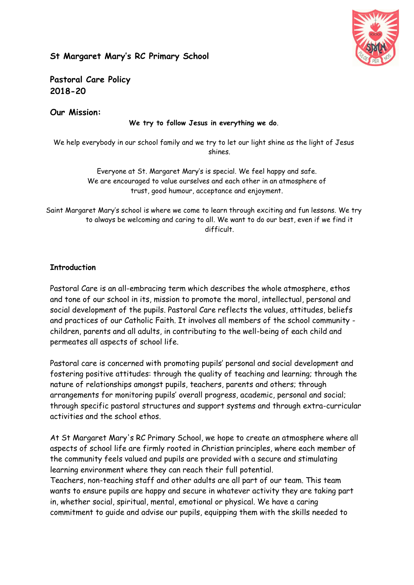

# **St Margaret Mary's RC Primary School**

**Pastoral Care Policy 2018-20**

**Our Mission:**

**We try to follow Jesus in everything we do**.

We help everybody in our school family and we try to let our light shine as the light of Jesus shines.

> Everyone at St. Margaret Mary's is special. We feel happy and safe. We are encouraged to value ourselves and each other in an atmosphere of trust, good humour, acceptance and enjoyment.

Saint Margaret Mary's school is where we come to learn through exciting and fun lessons. We try to always be welcoming and caring to all. We want to do our best, even if we find it difficult.

# **Introduction**

Pastoral Care is an all-embracing term which describes the whole atmosphere, ethos and tone of our school in its, mission to promote the moral, intellectual, personal and social development of the pupils. Pastoral Care reflects the values, attitudes, beliefs and practices of our Catholic Faith. It involves all members of the school community children, parents and all adults, in contributing to the well-being of each child and permeates all aspects of school life.

Pastoral care is concerned with promoting pupils' personal and social development and fostering positive attitudes: through the quality of teaching and learning; through the nature of relationships amongst pupils, teachers, parents and others; through arrangements for monitoring pupils' overall progress, academic, personal and social; through specific pastoral structures and support systems and through extra-curricular activities and the school ethos.

At St Margaret Mary's RC Primary School, we hope to create an atmosphere where all aspects of school life are firmly rooted in Christian principles, where each member of the community feels valued and pupils are provided with a secure and stimulating learning environment where they can reach their full potential.

Teachers, non-teaching staff and other adults are all part of our team. This team wants to ensure pupils are happy and secure in whatever activity they are taking part in, whether social, spiritual, mental, emotional or physical. We have a caring commitment to guide and advise our pupils, equipping them with the skills needed to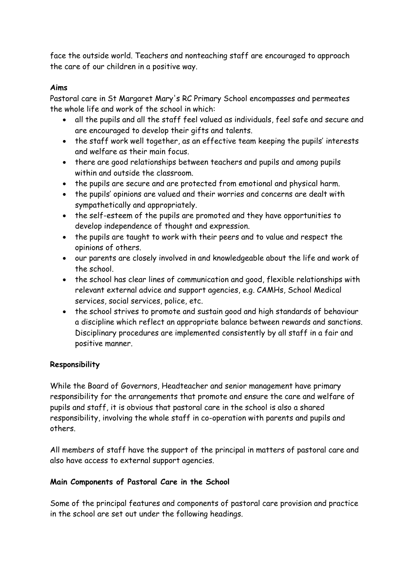face the outside world. Teachers and nonteaching staff are encouraged to approach the care of our children in a positive way.

### **Aims**

Pastoral care in St Margaret Mary's RC Primary School encompasses and permeates the whole life and work of the school in which:

- all the pupils and all the staff feel valued as individuals, feel safe and secure and are encouraged to develop their gifts and talents.
- the staff work well together, as an effective team keeping the pupils' interests and welfare as their main focus.
- there are good relationships between teachers and pupils and among pupils within and outside the classroom.
- the pupils are secure and are protected from emotional and physical harm.
- the pupils' opinions are valued and their worries and concerns are dealt with sympathetically and appropriately.
- the self-esteem of the pupils are promoted and they have opportunities to develop independence of thought and expression.
- the pupils are taught to work with their peers and to value and respect the opinions of others.
- our parents are closely involved in and knowledgeable about the life and work of the school.
- the school has clear lines of communication and good, flexible relationships with relevant external advice and support agencies, e.g. CAMHs, School Medical services, social services, police, etc.
- the school strives to promote and sustain good and high standards of behaviour a discipline which reflect an appropriate balance between rewards and sanctions. Disciplinary procedures are implemented consistently by all staff in a fair and positive manner.

# **Responsibility**

While the Board of Governors, Headteacher and senior management have primary responsibility for the arrangements that promote and ensure the care and welfare of pupils and staff, it is obvious that pastoral care in the school is also a shared responsibility, involving the whole staff in co-operation with parents and pupils and others.

All members of staff have the support of the principal in matters of pastoral care and also have access to external support agencies.

# **Main Components of Pastoral Care in the School**

Some of the principal features and components of pastoral care provision and practice in the school are set out under the following headings.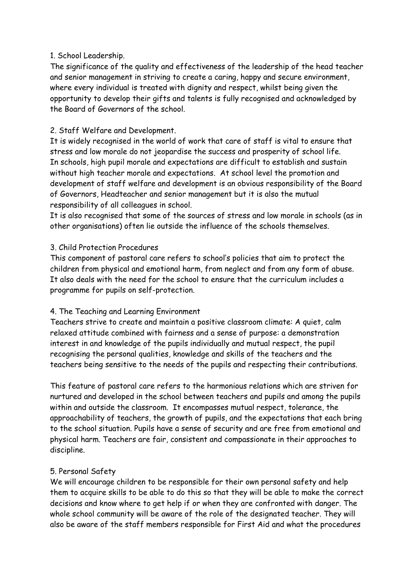## 1. School Leadership.

The significance of the quality and effectiveness of the leadership of the head teacher and senior management in striving to create a caring, happy and secure environment, where every individual is treated with dignity and respect, whilst being given the opportunity to develop their gifts and talents is fully recognised and acknowledged by the Board of Governors of the school.

# 2. Staff Welfare and Development.

It is widely recognised in the world of work that care of staff is vital to ensure that stress and low morale do not jeopardise the success and prosperity of school life. In schools, high pupil morale and expectations are difficult to establish and sustain without high teacher morale and expectations. At school level the promotion and development of staff welfare and development is an obvious responsibility of the Board of Governors, Headteacher and senior management but it is also the mutual responsibility of all colleagues in school.

It is also recognised that some of the sources of stress and low morale in schools (as in other organisations) often lie outside the influence of the schools themselves.

## 3. Child Protection Procedures

This component of pastoral care refers to school's policies that aim to protect the children from physical and emotional harm, from neglect and from any form of abuse. It also deals with the need for the school to ensure that the curriculum includes a programme for pupils on self-protection.

#### 4. The Teaching and Learning Environment

Teachers strive to create and maintain a positive classroom climate: A quiet, calm relaxed attitude combined with fairness and a sense of purpose: a demonstration interest in and knowledge of the pupils individually and mutual respect, the pupil recognising the personal qualities, knowledge and skills of the teachers and the teachers being sensitive to the needs of the pupils and respecting their contributions.

This feature of pastoral care refers to the harmonious relations which are striven for nurtured and developed in the school between teachers and pupils and among the pupils within and outside the classroom. It encompasses mutual respect, tolerance, the approachability of teachers, the growth of pupils, and the expectations that each bring to the school situation. Pupils have a sense of security and are free from emotional and physical harm. Teachers are fair, consistent and compassionate in their approaches to discipline.

# 5. Personal Safety

We will encourage children to be responsible for their own personal safety and help them to acquire skills to be able to do this so that they will be able to make the correct decisions and know where to get help if or when they are confronted with danger. The whole school community will be aware of the role of the designated teacher. They will also be aware of the staff members responsible for First Aid and what the procedures